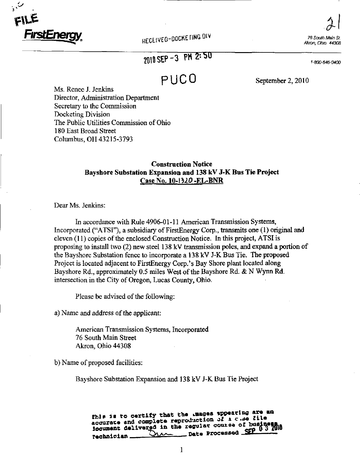

 $2|$ 76 South Main St. Akron, Ohio 44308

1-800-646-0400

# 2010 SEP-3 PM 2:50

**P U C 0** September 2, 2010

Ms. Renee J. Jenkins Director, Administration Department Secretary to the Commission Docketing Division The Public Utilities Commission of Ohio 180 East Broad Street Columbus, OH 43215-3793

#### Construction Notice Bayshore Substation Expansion and 138 kV J-K Bus Tie Project Case No. 10-1^20 -EL-BNR

Dear Ms. Jenkins:

In accordance with Rule 4906-01-11 American Transmission Systems, Incorporated ("ATSI"), a subsidiary of FirstEnergy Corp., transmits one (1) original and eleven (11) copies of the enclosed Construction Notice. In this project, ATSI is proposing to install two (2) new steel 138 kV transmission poles, and expand a portion of the Bayshore Substation fence to incorporate a 138 kV J-K Bus Tie. The proposed Project is located adjacent to FirstEnergy Corp.'s Bay Shore plant located along Bayshore Rd., approximately 0.5 miles West of the Bayshore Rd. & N Wynn Rd. intersection in the City of Oregon, Lucas County, Ohio.

Please be advised of the following:

a) Name and address of the applicant:

American Transmission Systems, Incorporated 76 South Main Street Akron, Ohio 44308

b) Name of proposed facilities:

Bayshore Substation Expansion and 138 kV J-K Bus Tie Project

fhis is to certify that the .mages appearing are an accurate and complete reproduction of  $x \in \mathcal{L}$  . se file Iocument delivered in the regular course of buBlness.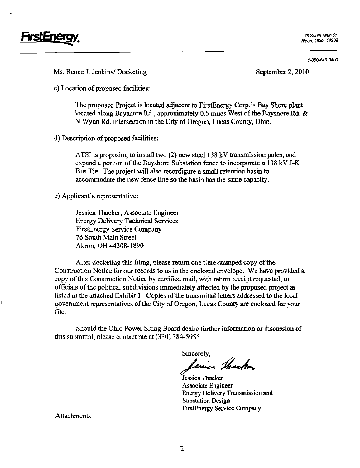

Akron. Ohio 44308

1-800-646-0400

Ms. Renee J. Jenkins/ Docketing September 2, 2010

c) Location of proposed facilities:

The proposed Project is located adjacent to FirstEnergy Corp.'s Bay Shore plant located along Bayshore Rd., approximately 0.5 miles West of the Bayshore Rd. & N Wynn Rd. intersection in the City of Oregon, Lucas County, Ohio.

d) Description of proposed facilities:

ATSI is proposing to install two (2) new steel 138 kV transmission poles, and expand a portion of the Bayshore Substation fence to incorporate a 138 kV J-K Bus Tie. The project will also reconfigure a small retention basin to accommodate the new fence line so the basin has the same capacity.

e) Applicant's representative:

Jessica Thacker, Associate Engineer Energy Delivery Technical Services FirstEnergy Service Company 76 South Main Street Akron, OH 44308-1890

After docketing this filing, please return one time-stamped copy of the Construction Notice for our records to us in the enclosed envelope. We have provided a copy of this Construction Notice by certified mail, with return receipt requested, to officials of the political subdivisions immediately affected by the proposed project as listed in the attached Exhibit 1. Copies of the transmittal letters addressed to the local government representatives of the City of Oregon, Lucas County are enclosed for your file.

Should the Ohio Power Siting Board desire fiirther infonnation or discussion of this submittal, please contact me at (330) 384-5955.

Sincerely,<br>Lessica Shacker

Jessica Thacker Associate Engineer Energy Delivery Transmission and Substation Design FirstEnergy Service Company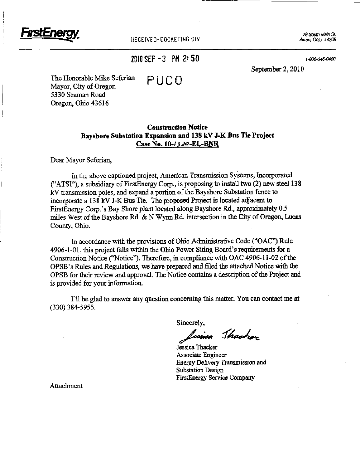

RECEIVED-DOCKE FING DIV

76 South Main St.

### $2010$  SEP - 3 PM 2:50 is a second second second second second second second second second second second second second second second second second second second second second second second second second second second seco

September 2, 2010

The Honorable Mike Seferian  $PI \cup CD$ Mayor, City of Oregon 5330 Seaman Road Oregon, Ohio 43616

#### Construction Notice Bayshore Substation Expansion and 138 kV J-K Bus Tie Project Case No. 10-/320-EL-BNR

Dear Mayor Seferian,

In the above captioned project, American Transmission Systems, Incorporated  $("ATSI")$ , a subsidiary of FirstEnergy Corp., is proposing to install two  $(2)$  new steel 138 kV transmission poles, and expand a portion of the Bayshore Substation fence to incorporate a 138 kV J-K Bus Tie. The proposed Project is located adjacent to FirstEnergy Corp.'s Bay Shore plant located along Bayshore Rd., approximately 0.5 miles West of the Bayshore Rd. & N Wynn Rd. intersection in the City of Oregon, Lucas County, Ohio.

In accordance with the provisions of Ohio Administrative Code ("OAC") Rule  $4906-1-01$ , this project falls within the Ohio Power Siting Board's requirements for a Constmction Notice ('"Notice"). Therefore, in compliance with OAC 4906-11-02 of the OPSB's Rules and Regulations, we have prepared and filed the attached Notice with the OPSB for their review and approval. The Notice contains a description of the Project and is provided for your information.

I'll be glad to answer any question concerning this matter. You can contact me at (330) 384-5955.

Sincerely,

lissica Shacher

Jessica Thacker Associate Engineer Energy Delivery Transmission and Substation Design FirstEnergy Service Company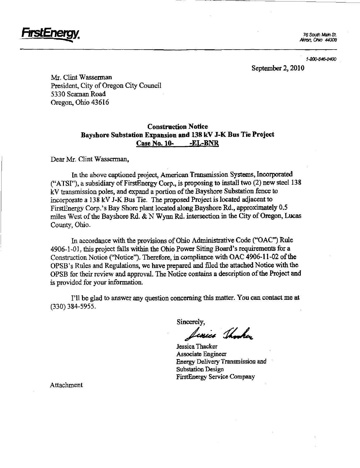

Akron. Ohio 44308

1-800-646-0400

September 2, 2010

Mr. Clint Wasserman President, City of Oregon City Council 5330 Seaman Road Oregon, Ohio 43616

#### Construction Notice Bayshore Substation Expansion and 138 kV J-K Bus Tie Project Case No. 10- -EL-BNR

Dear Mr. Clint Wasserman,

In the above captioned project, American Transmission Systems, Incorporated ("ATSr'), a subsidiary of FirstEnergy Corp., is proposing to install two (2) new steel 138 kV transmission poles, and expand a portion of the Bayshore Substation fence to incorporate a 138 kV J-K Bus Tie. The proposed Project is located adjacent to FirstEnergy Corp.'s Bay Shore plant located along Bayshore Rd., approximately 0.5 miles West of the Bayshore Rd. & N Wynn Rd. intersection in the City of Oregon, Lucas County, Ohio.

In accordance with the provisions of Ohio Administrative Code ("OAC") Rule 4906-1-01, this project falls within the Ohio Power Siting Board's requirements for a Construction Notice ("Notice"). Therefore, in compliance with OAC 4906-11-02 of the OPSB's Rules and Regulations, we have prepared and filed the attached Notice with the OPSB for their review and approval. The Notice contains a description of the Project and is provided for your information.

I'll be glad to answer any question concerning this matter. You can contact me at (330)384-5955.

Sincerely,

Icosico Thomas

Jessica Thacker Associate Engineer Energy Delivery Transmission and Substation Design FirstEnergy Service Company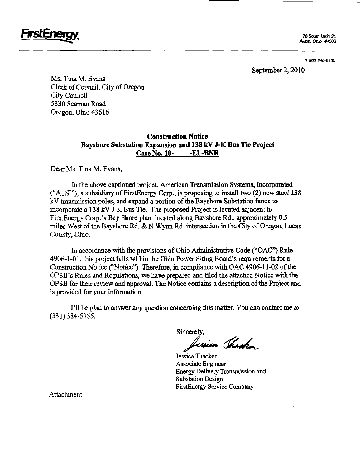**FirstEnergy.** The south Main St.

Akron, Ohio 44308

1-800-646-0400

September 2, 2010

Ms. Tina M. Evans Clerk of Council, City of Oregon City Council 5330 Seaman Road Oregon, Ohio 43616

#### Construction Notice Bayshore Substation Expansion and 138 kV J-K Bus Tie Project Case No. 10- -EL-BNR

Dear Ms. Tina M. Evans,

In the above captioned project, American Transmission Systems, Incorporated ("ATSI"), a subsidiary of FirstEnergy Corp., is proposing to install two (2) new steel 138 kV transmission poles, and expand a portion of the Bayshore Substation fence to incorporate a 138 kV J-K Bus Tie. The proposed Project is located adjacent to FirstEnergy Corp.'s Bay Shore plant located along Bayshore Rd., approximately 0.5 miles West of the Bayshore Rd. & N Wynn Rd. intersection in the City of Oregon, Lucas County, Ohio.

In accordance with tbe provisions of Ohio Administrative Code ("OAC") Rule 4906-1-01, this project falls within the Ohio Power Siting Board's requirements for a Construction Notice ("Notice"). Therefore, in compliance with OAC 4906-11-02 of the OPSB's Rules and Regulations, we have prepared and filed the attached Notice with the OPSB for their review and approval. The Notice contains a description of the Project and is provided for your information.

I'll be glad to answer any question concerning this matter. You can contact me at (330)384-5955.

Sincerely,

resia Thacken

Jessica Thacker Associate Engineer Energy Delivery Transmission and Substation Design FirstEnergy Service Company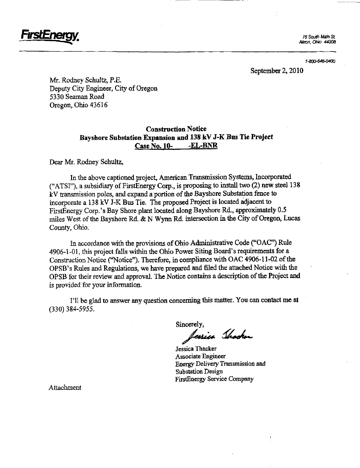

Akron, Ohio 44308

1-800-646-0400

September 2, 2010

Mr. Rodney Schultz, P.E. Deputy City Engineer, City of Oregon 5330 Seaman Road Oregon, Ohio 43616

#### Construction Notice Bayshore Substation Expansion and 138 kV J-K Bus Tie Project Case No. 10- EL-BNR

Dear Mr. Rodney Schultz,

In the above captioned project, American Transmission Systems, Incorporated ("ATSI"), a subsidiary of FirstEnergy Corp., is proposing to mstall two (2) new steel 138 kV transmission poles, and expand a portion of the Bayshore Substation fence to incorporate a 138 kV J-K Bus Tie. The proposed Project is located adjacent to FirstEnergy Corp.'s Bay Shore plant located along Bayshore Rd., approximately 0.5 miles West of the Bayshore Rd. & N Wynn Rd. intersection in the City of Oregon, Lucas County, Ohio.

In accordance with the provisions of Ohio Administrative Code ("OAC'\*) Rule 4906-1-01, this project falls within the Ohio Power Siting Board's requirements for a Construction Notice ("Notice"). Therefore, in compliance with OAC 4906-11-02 of the OPSB's Rules and Regulations, we have prepared and filed the attached Notice with the OPSB for their review and approval. The Notice contains a description of the Project and is provided for your information.

I'll be glad to answer any question concerning this matter. You can contact me at (330) 384-5955.

Sincerely,<br>Jessien Shocker

Jessica Thacker Associate Engineer Energy Delivery Transmission and Substation Design FirstEnergy Service Company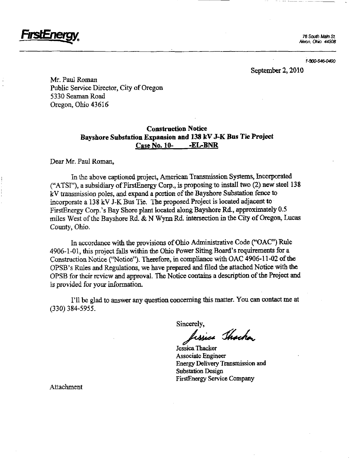

Akron, Ohio 44308

1-800-646-0400

September 2, 2010

Mr. Paul Roman Public Service Director, City of Oregon 5330 Seaman Road Oregon, Ohio 43616

#### Construction Notice Bayshore Substation Expansion and 138 kV J-K Bus Tie Project Case No. 10- -EL-BNR

Dear Mr. Paul Roman,

In the above captioned project, American Transmission Systems, Incorporated ("ATSI"), a subsidiary of FirstEnergy Corp., is proposing to install two (2) new steel 138 kV transmission poles, and expand a portion of the Bayshore Substation fence to incorporate a 138 kV J-K Bus Tic. The proposed Project is located adjacent to FirstEnergy Corp.'s Bay Shore plant located along Bayshore Rd., approximately 0.5 miles West of the Bayshore Rd. & N Wynn Rd. intersection in the City of Oregon, Lucas County, Ohio.

In accordance with the provisions of Ohio Administrative Code ("OAC") Rule 4906-1-01, this project falls within the Ohio Power Siting Board's requirements for a Construction Notice ("Notice"). Therefore, in compliance with OAC 4906-11-02 of the OPSB's Rules and Regulations, we have prepared and filed the attached Notice with the OPSB for their review and approval. The Notice contains a description of the Project and is provided for your information.

I'll be glad to answer any question concerning this matter. You can contact me at (330)384-5955.

Sincerely,

lissica Thacka

Jessica Thacker Associate Engineer Energy Delivery Transmission and Substation Design FirstEnergy Service Company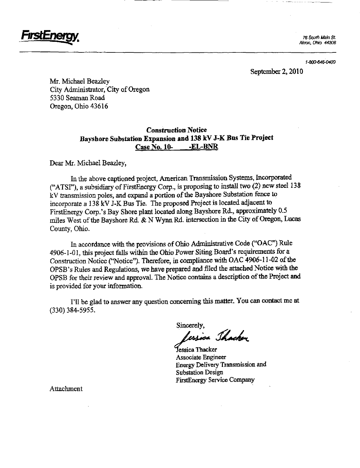

Akron. Ohio 44308

1-800-646-0400

September 2, 2010

Mr. Michael Beazley City Administrator, City of Oregon 5330 Seaman Road Oregon, Ohio 43616

#### Construction Notice Bayshore Substation Expansion and 138 kV J-K Bus Tie Project Case No. 10- -EL-BNR

Dear Mr. Michael Beazley^

In the above captioned project, American Transmission Systems, Incorporated ("ATSI"), a subsidiary of FirstEnergy Corp., is proposing to install two (2) new steel 138 kV transmission poles, and expand a portion of the Bayshore Substation fence to incorporate a 138 kV J-K Bus Tie. The proposed Project is located adjacent to FirstEnergy Corp.'s Bay Shore plant located along Bayshore Rd., approximately 0.5 miles West of the Bayshore Rd.  $\&$  N Wynn Rd. intersection in the City of Oregon, Lucas County, Ohio.

In accordance with the provisions of Ohio Administrative Code ("OAC") Rule 4906-1-01, this project falls within the Ohio Power Siting Board's requirements for a Construction Notice ("Notice"). Therefore, in compliance with OAC 4906-11-02 of the OPSB's Rules and Regulations, we have prepared and filed the attached Notice with the OPSB for their review and approval. The Notice contains a description of the Project and is provided for your information.

I'll be glad to answer any question concerning this matter. You can contact me at (330)384-5955.

Sincerely,<br>*Jessica Jhacher* 

Fessica Thacker Associate Engineer Energy Delivery Transmission and Substation Design FirstEnergy Service Company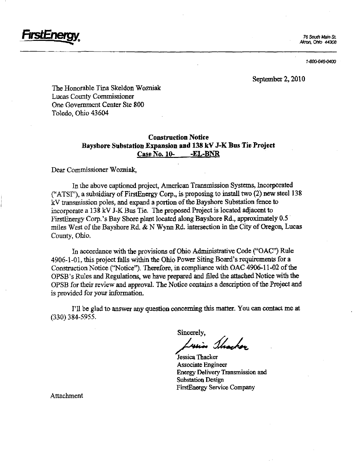*'I'SCENe* 

76 South Main St. Akron, ONo 44308

1-800-646-0400

September 2, 2010

The Honorable Tina Skeldon Wozniak Lucas County Commissioner One Government Center Ste 800 Toledo, Ohio 43604

#### Construction Notice Bayshore Substation Expansion and 138 kV J-K Bus Tie Project Case No. 10- -EL-BNR

Dear Commissioner Wozniak,

In the above captioned project, American Transmission Systems, Incorporated ("ATSI"), a subsidiary of FirstEnergy Corp., is proposing to install two  $(2)$  new steel 138 kV transmission poles, and expand a portion of the Bayshore Substation fence to incorporate a 13 8 kV J-K Bus Tie. The proposed Project is located adjacent to FirstEnergy Corp.'s Bay Shore plant located along Bayshore Rd., approximately 0.5 miles West of the Bayshore Rd.  $\&$  N Wynn Rd. intersection in the City of Oregon, Lucas County, Ohio.

In accordance with the provisions of Ohio Admmistrative Code ("OAC") Rule 4906-1-01, this project falls within the Ohio Power Siting Board's requirements for a Construction Notice ("Notice"). Therefore, in compliance with OAC 4906-11-02 of the OPSB's Rules and Regulations, we have prepared and filed fhe attached Notice with the OPSB for their review and approval. The Notice contains a description of the Project and is provided for your information.

I'll be glad to answer any question concerning this matter. You can contact me at (330)384-5955.

Sincerely,<br>Luis Shacker

Jessica Thacker Associate Engineer Energy Delivery Transmission and Substation Design FirstEnergy Service Company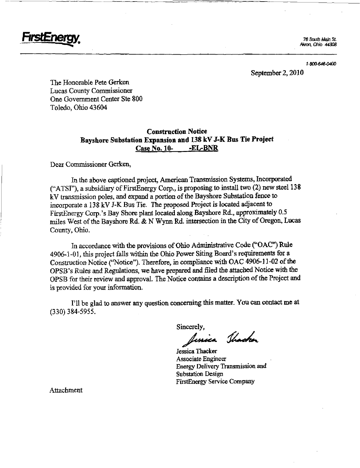

Akron, Ohio 44308

1-800-646-0400

September 2, 2010

The Honorable Pete Gerken Lucas County Commissioner One Government Center Ste 800 Toledo, Ohio 43604

#### Construction Notice Bayshore Substation Expansion and 138 kV J-K Bus Tie Project Case No. 10- -EL-BNR

Dear Commissioner Gerken,

In the above captioned project, American Transmission Systems, Incorporated ("ATSI"), a subsidiary of FirstEnergy Corp., is proposing to install two  $(2)$  new steel 138 kV transmission poles, and expand a portion of the Bayshore Substation fence to mcorporate a 138 kV J-K Bus Tie. The proposed Project is located adjacent to FirstEnergy Corp.'s Bay Shore plant located along Bayshore Rd., approximately 0.5 miles West of the Bayshore Rd. & N Wynn Rd. intersection m the City of Oregon, Lucas County, Ohio.

In accordance with the provisions of Ohio Administrative Code ("OAC") Rule 4906-1-01, this project falls within the Ohio Power Siting Board's requirements for a Construction Notice ("Notice"). Therefore, in compliance with OAC 4906-11-02 of the OPSB's Rules and Regulations, we have prepared and filed the attached Notice with the OPSB for their review and approval. The Notice contains a description of the Project and is provided for your information.

I'll be glad to answer any question concerning this matter. You can contact me at (330)384-5955.

Sincerely,<br>Jessica Jhacker

Jessica Thacker Associate Engineer Energy Delivery Transmission and Substation Design FirstEnergy Service Company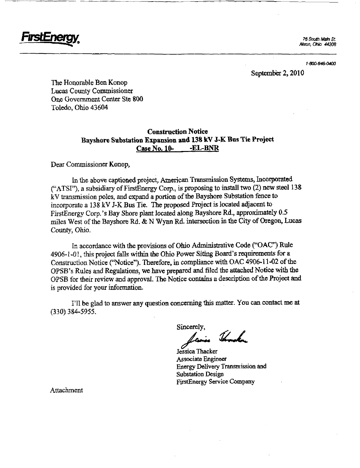

Aknm. ONo 44308

1-800-646-0400

September 2, 2010

The Honorable Ben Konop Lucas County Commissioner One Government Center Ste 800 Toledo, Ohio 43604

#### Construction Notice Bayshore Substation Expansion and 138 kV J-K Bus Tie Project Case No. 10- -EL-BNR

Dear Commissioner Konop,

In the above captioned project, American Transmission Systems, Incorporated ("ATSI"), a subsidiary of FirstEnergy Corp., is proposing to install two  $(2)$  new steel 138 kV transmission poles, and expand a portion of the Bayshore Substation fence to mcorporate a 138 kV J-K Bus Tie. The proposed Project is located adjacent to FirstEnergy Corp.'s Bay Shore plant located along Bayshore Rd., approximately 0.5 miles West of the Bayshore Rd. & N Wynn Rd. intersection in the City of Oregon, Lucas County, Ohio.

In accordance with the provisions of Ohio Administrative Code ("OAC") Rule 4906-1-01, this project falls within the Ohio Power Siting Board's requirements for a Construction Notice ("Notice"). Therefore, in compliance with OAC 4906-11-02 of the OPSB's Rules and Regulations, we have prepared and filed the attached Notice with the OPSB for their review and approval. The Notice contains a description of the Project and is provided for your information.

I'll be glad to answer any question concerning this matter. You can contact me at (330)384-5955.

Sincerely,

Thanks

Jessica Thacker Associate Engineer Energy Delivery Transmission and Substation Design FirstEnergy Service Company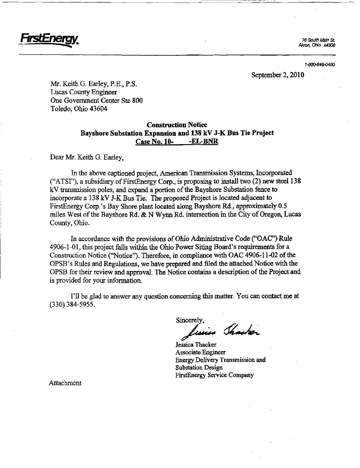

76 South Main St. Akron, ONo 44308

1-800-646-0400

September 2, 2010

Mr. Keith G. Earley, P.E., P.S. Lucas County Engineer One Government Center Ste 800 Toledo, Ohio 43604

#### Construction Notice Bayshore Substation Expansion and 138 kV J-K Bus Tie Project Case No. 10- -EL-BNR

Dear Mr. Keith G. Earley,

In the above captioned project, American Transmission Systems, Incorporated ("ATSI"), a subsidiary of FirstEnergy Corp., is proposing to install two  $(2)$  new steel 138 kV transmission poles, and expand a portion of the Bayshore Substation fence to incorporate a 138 kV J-K Bus Tie. Tie proposed Project is located adjacent to FirstEnergy Corp.'s Bay Shore plant located along Bayshore Rd., approximately 0.5 miles West of the Bayshore Rd. & N Wynn Rd. intersection in the City of Oregon, Lucas County, Ohio.

In accordance with the provisions of Ohio Administrative Code ("OAC") Rule 4906-1-01, this project falls within the Ohio Power Sitmg Board's requirements for a Construction Notice ("Notice"). Therefore, in compliance with OAC 4906-11-02 of the OPSB's Rules and Regulations, we have prepared and filed the attached Notice with the OPSB for their review and approval. The Notice contains a description of the Project and is provided for your information.

I'll be glad to answer any question concerning this matter. You can contact me at (330)384-5955.

Sincerely,

 $l_{\textit{using}}$  Shacker

Jessica Thacker Associate Engineer Energy Delivery Transmission and Substation Design FirstEnergy Service Company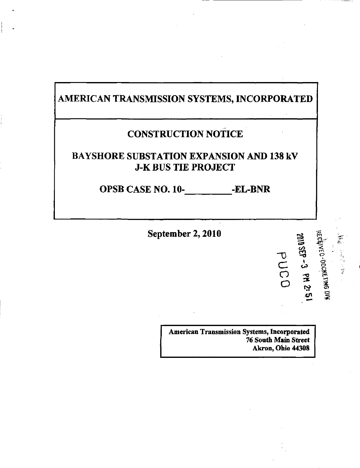## AMERICAN TRANSMISSION SYSTEMS, INCORPORATED

## CONSTRUCTION NOTICE

### BAYSHORE SUBSTATION EXPANSION AND 138 kV J-K BUS TIE PROJECT

OPSB CASE NO. 10-<br>-EL-BNR

September 2, 2010

American Transmission Systems, Incorporated 76 South Main Street Akron, Ohio 44308

 $\sigma$ 

€/> ^ 1  $\leq$ 

 $\overline{S}$ • ^

 $\bar{\vec{z}}$  o

-O

^ i n

 $\frac{C}{D}$ o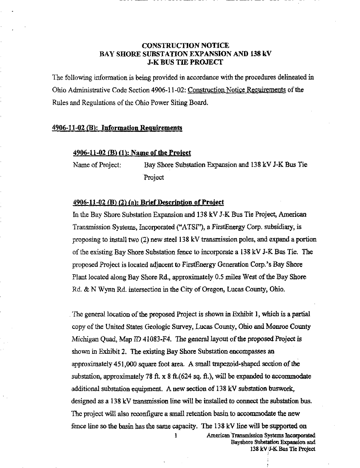#### CONSTRUCTION NOTICE BAY SHORE SUBSTATION EXPANSION AND 138 kV J-K BUS TIE PROJECT

The following information is being provided in accordance with the procedures delineated in Ohio Administrative Code Section 4906-11-02: Construction Notice Requirements of the Rules and Regulations of the Ohio Power Siting Board.

#### 4906-11-02 (E): Information Requirements

#### 4906-11-02 (B) (1): Name of the Project

Name of Project: Bay Shore Substation Expansion and 138 kV J-K Bus Tie Project

#### 4906-11-02 (B) (2) (a): Brief Description of Project

In the Bay Shore Substation Expansion and 138 kV J-K Bus Tie Project, American Transmission Systems, Incorporated ("ATSI"), a FirstEnergy Corp. subsidiary, is proposing to install two (2) new steel 138 kV transmission poles, and expand a portion of the existing Bay Shore Substation fence to incorporate a 138 kV J-K Bus Tie. The proposed Project is located adjacent to FirstEnergy Generation Corp.'s Bay Shore Plant located along Bay Shore Rd., approximately 0.5 miles West of the Bay Shore Rd. & N Wynn Rd. intersection in the City of Oregon, Lucas County, Ohio.

The general location of the proposed Project is shown in Exhibit 1, which is a partial copy of the United States Geologic Survey, Lucas County, Ohio and Monroe County Michigan Quad, Map ID 41083-F4. The general layout of the proposed Project is shown in Exhibit 2. The existing Bay Shore Substation encompasses an approximately 451,000 square foot area. A small trapezoid-shaped section of the substation, approximately 78 ft.  $x$  8 ft.(624 sq. ft.), will be expanded to accommodate additional substation equipment. A new section of 138 kV substation buswork, designed as a 138 kV transmission line will be installed to connect the substation bus. The project will also reconfigure a small retention basin to accommodate the new fence line so the basin has the same capacity. The 138 kV line will be supported on

1 **American Transmission Systems Incorporated** Bayshore Substation Expaosion and 138 kVJ-K Bus Tie Project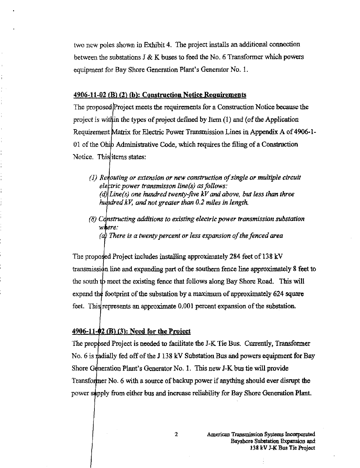two new poles shown in Exhibit 4. The project installs an additional connection between the substations J & K buses to feed the No. 6 Transformer which powers equipment for Bay Shore Generation Plant's Generator No. 1.

#### 4906-11-02 (B) (2) (h): Construction Notice Requirements

The proposed Project meets the requirements for a Construction Notice because the project is within the types of project defined by Item  $(1)$  and  $(0)$  the Application Requirement Matrix for Electric Power Transmission Lines in Appendix A of 4906-1-01 of the Ohio Administrative Code, which requires the filing of a Construction Notice. This *items* states:

- (1) Renouting or extension or new construction of single or multiple circuit electric power transmisson line(s) as follows: (d) Line(s) one hundred twenty-five kV and above, but less than three hundred kV, and not greater than  $0.2$  miles in length.
- (8) Cdnstructing additions to existing electric power transmission substation where:

(a) There is a twenty percent or less expansion of the fenced area

The proposed Project mcludes installing approximately 284 feet of 138 kV transmission line and expanding part of the southem fence line approximately 8 feet to the south to meet the existing fence that follows along Bay Shore Road. This will expand the footprint of the substation by a maximum of approximately 624 square feet. This represents an approximate 0.001 percent expansion of the substation.

#### $4906-11-02$  (B) (3): Need for the Project

The proposed Project is needed to facilitate the J-K Tie Bus. Currently, Transformer No. 6 is madially fed off of the J 138 kV Substation Bus and powers equipment for Bay Shore Generation Plant's Generator No. 1. This new J-K bus tie will provide Transformer No. 6 with a source of backup power if anything should ever disrupt the power supply from either bus and increase reliability for Bay Shore Generation Plant.

 $\mathbf{2}$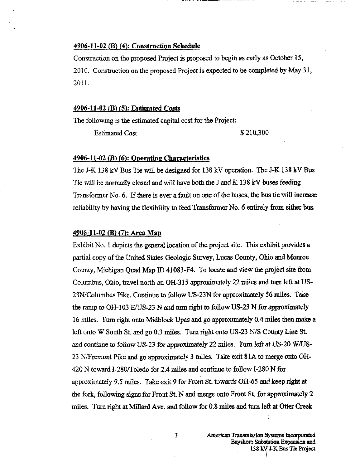#### 4906-11-02 (B) (4): Construction Schedule

Construction on the proposed Project is proposed to begin as early as October 15, 2010, Construction on the proposed Project is expected to be completed by May 31, 2011.

#### 4906-11-02 (B) (5): Esthnated Costs

The following is the estimated capital cost for the Project:

Estimated Cost \$210,300

#### $4906-11-02$  (B) (6): Operating Characteristics

The J-K 138 kV Bus Tie will be designed for 138 kV operation. The J-K 138 kV Bus Tie will be normally closed and will have both the J and K 138 kV buses feeding Transformer No. 6. If there is ever a fault on one of the buses, the bus tie will increase reliability by having the flexibility to feed Transformer No. 6 entirely from either bus.

#### 4906-11-02 (B) (7): Area Map

Exhibit No, 1 depicts the general location of the project site. This exhibit provides a partial copy of the United States Geologic Survey, Lucas County, Ohio and Monroe County, Michigan Quad Map ID 41083-F4. To locate and view the project site from Columbus, Ohio, travel north on OH-315 approximately 22 miles and turn left at US-23N/Columbus Pike. Continue to follow US-23N for approximately 56 miles. Take the ramp to OH-103 E/US-23 N and turn right to follow US-23 N for approximately 16 miles. Turn right onto Midblock Upas and go approximately 0.4 miles then make a left onto W South St. and go 0.3 miles. Turn right onto US-23 N/S County Line St. and continue to follow US-23 for approximately 22 miles. Turn left at US-20 W/US-23 N/Fremont Pike and go approximately 3 miles. Take exit 81A to merge onto OH-420 N toward I-280/Toledo for 2.4 miles and continue to follow 1-280 N for approximately 9.5 miles. Take exit 9 for Front St. towards OR'65 and keep right at the fork, following signs for Front St. N and merge onto Front St. for approximately  $2$ miles. Turn right at Millard Ave. and follow for 0.8 miles and turn left at Otter Creek

 $\overline{\mathbf{3}}$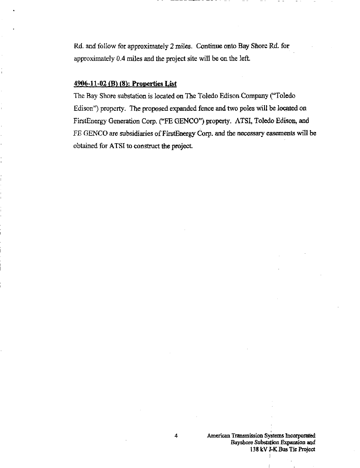Rd. and follow for approximately 2 miles. Contmue onto Bay Shore Rd. for approximately 0.4 miles and the project site will be on the left.

#### 4906-11-02 (B) (S): Properties List

The Bay Shore substation is located on The Toledo Edison Company ("Toledo Edison") property. The proposed expanded fence and two poles will be located on FirstEnergy Generation Corp. ("FE GENCO") property. ATSI, Toledo Edison, and FE GENCO are subsidiaries of FirstEnergy Corp. and the necessary easements will be obtained for ATSI to construct the project.

4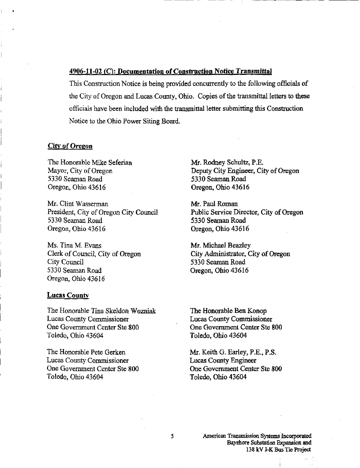#### 4906-11-02 (C): Documentation of Construction Notice Transmittal

This Construction Notice is being provided concurrentiy to the following officials of the City of Oregon and Lucas County, Ohio. Copies of the transmittal letters to these officials have been included with the transmittal letter submittmg this Construction Notice to the Ohio Power Siting Board.

#### City of Oregon

The Honorable Mike Seferian Mayor, City of Oregon 5330 Seaman Road Oregon, Ohio 43616

Mr. Clint Wasserman President, City of Oregon City Council 5330 Seaman Road Oregon, Ohio 43616

Ms. Tina M. Evans Clerk of Council, City of Oregon City Council 5330 Seaman Road Oregon, Ohio 43616

#### **Lucas County**

The Honorable Tina Skeldon Wozniak Lucas County Commissioner One Government Center Ste 800 Toledo, Ohio 43604

The Honorable Pete Gerken Lucas County Commissioner One Government Center Ste 800 Toledo, Ohio 43604

Mr. Rodney Schultz, P.E. Deputy City Engineer, City of Oregon 5330 Seaman Road Oregon, Ohio 43616

Mr. Paul Roman Public Service Director, City of Oregon 5330 Seaman Road Oregon, Ohio 43616

Mr. Michael Beazley City Administrator, City of Oregon 5330 Seaman Road Oregon, Ohio 43616

The Honorable Ben Konop Lucas County Commissioner One Government Center Ste 800 Toledo, Ohio 43604

Mr. Keith G. Earley, P.E., P.S. Lucas County Engineer One Government Center Ste 800 Toledo, Ohio 43604

5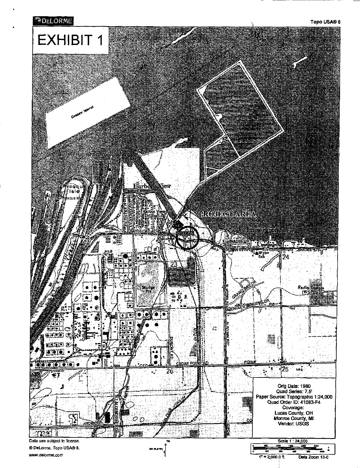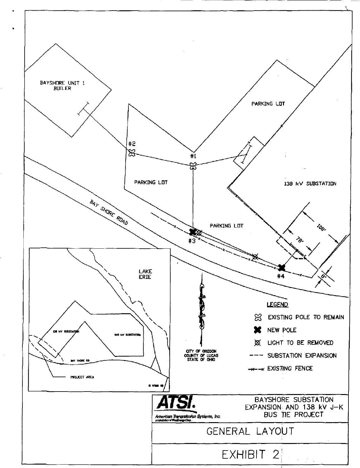